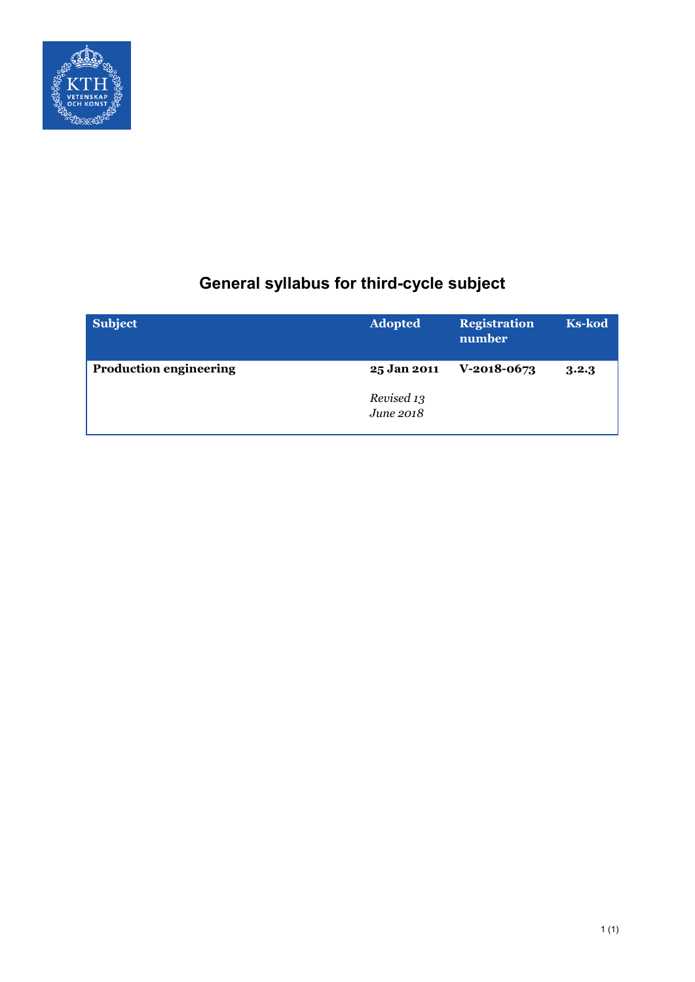

# **General syllabus for third-cycle subject**

| <b>Subject</b>                | <b>Adopted</b>          | <b>Registration</b><br>number | <b>Ks-kod</b> |
|-------------------------------|-------------------------|-------------------------------|---------------|
| <b>Production engineering</b> | 25 Jan 2011             | $V-2018-0673$                 | 3.2.3         |
|                               | Revised 13<br>June 2018 |                               |               |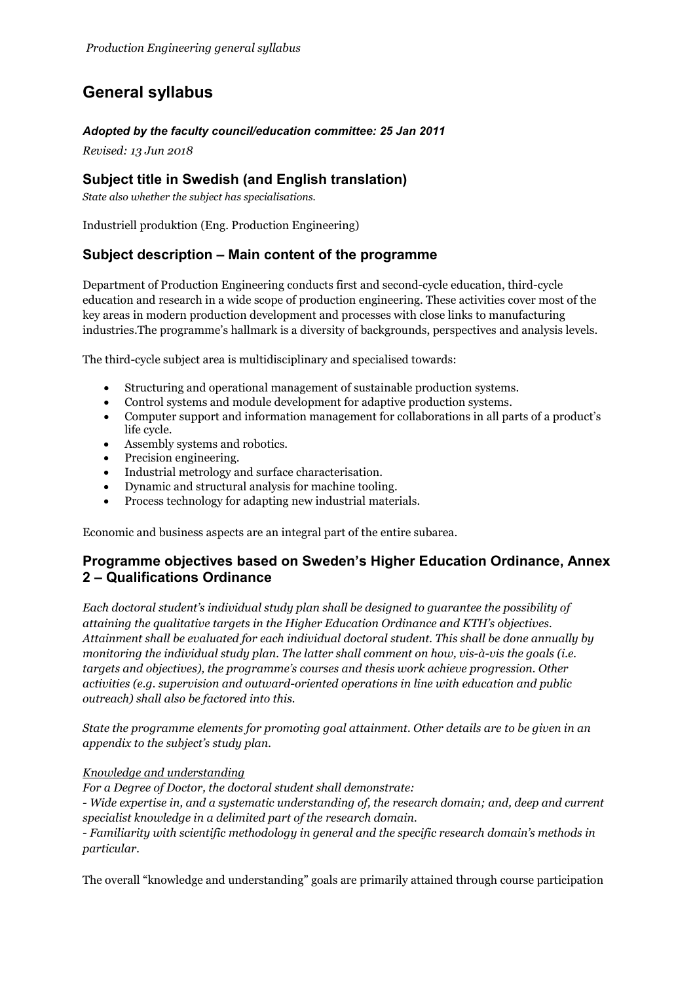## **General syllabus**

#### *Adopted by the faculty council/education committee: 25 Jan 2011*

*Revised: 13 Jun 2018*

## **Subject title in Swedish (and English translation)**

*State also whether the subject has specialisations.*

Industriell produktion (Eng. Production Engineering)

## **Subject description – Main content of the programme**

Department of Production Engineering conducts first and second-cycle education, third-cycle education and research in a wide scope of production engineering. These activities cover most of the key areas in modern production development and processes with close links to manufacturing industries.The programme's hallmark is a diversity of backgrounds, perspectives and analysis levels.

The third-cycle subject area is multidisciplinary and specialised towards:

- Structuring and operational management of sustainable production systems.
- Control systems and module development for adaptive production systems.
- Computer support and information management for collaborations in all parts of a product's life cycle.
- Assembly systems and robotics.
- Precision engineering.
- Industrial metrology and surface characterisation.
- Dynamic and structural analysis for machine tooling.
- Process technology for adapting new industrial materials.

Economic and business aspects are an integral part of the entire subarea.

## **Programme objectives based on Sweden's Higher Education Ordinance, Annex 2 – Qualifications Ordinance**

*Each doctoral student's individual study plan shall be designed to guarantee the possibility of attaining the qualitative targets in the Higher Education Ordinance and KTH's objectives. Attainment shall be evaluated for each individual doctoral student. This shall be done annually by monitoring the individual study plan. The latter shall comment on how, vis-à-vis the goals (i.e. targets and objectives), the programme's courses and thesis work achieve progression. Other activities (e.g. supervision and outward-oriented operations in line with education and public outreach) shall also be factored into this.*

*State the programme elements for promoting goal attainment. Other details are to be given in an appendix to the subject's study plan.*

#### *Knowledge and understanding*

*For a Degree of Doctor, the doctoral student shall demonstrate:*

*- Wide expertise in, and a systematic understanding of, the research domain; and, deep and current specialist knowledge in a delimited part of the research domain.*

*- Familiarity with scientific methodology in general and the specific research domain's methods in particular.*

The overall "knowledge and understanding" goals are primarily attained through course participation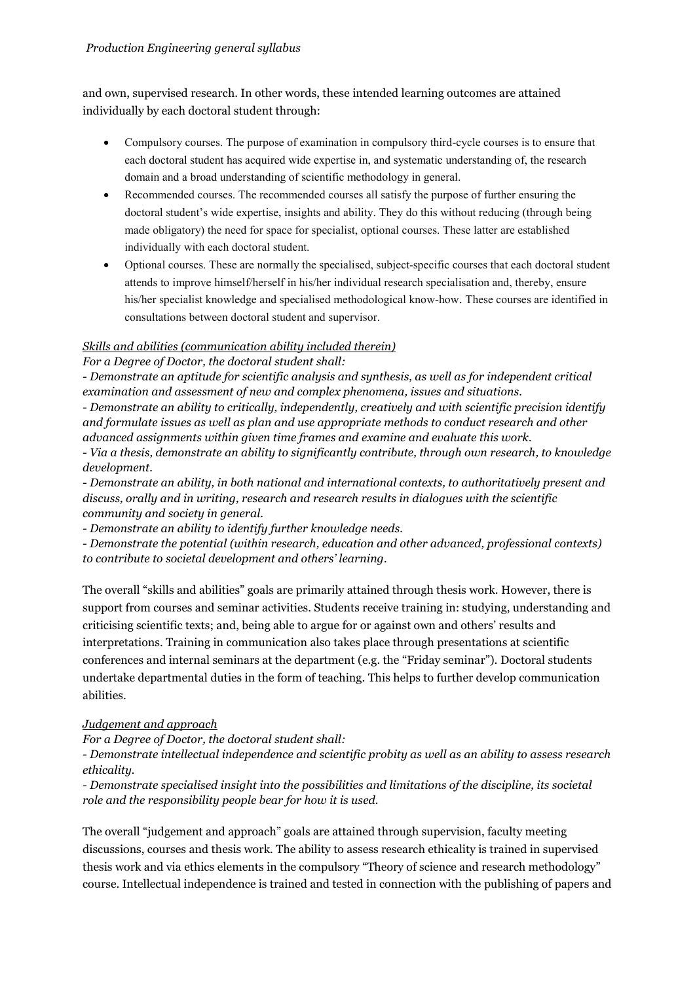and own, supervised research. In other words, these intended learning outcomes are attained individually by each doctoral student through:

- Compulsory courses. The purpose of examination in compulsory third-cycle courses is to ensure that each doctoral student has acquired wide expertise in, and systematic understanding of, the research domain and a broad understanding of scientific methodology in general.
- Recommended courses. The recommended courses all satisfy the purpose of further ensuring the doctoral student's wide expertise, insights and ability. They do this without reducing (through being made obligatory) the need for space for specialist, optional courses. These latter are established individually with each doctoral student.
- Optional courses. These are normally the specialised, subject-specific courses that each doctoral student attends to improve himself/herself in his/her individual research specialisation and, thereby, ensure his/her specialist knowledge and specialised methodological know-how. These courses are identified in consultations between doctoral student and supervisor.

## *Skills and abilities (communication ability included therein)*

*For a Degree of Doctor, the doctoral student shall:*

*- Demonstrate an aptitude for scientific analysis and synthesis, as well as for independent critical examination and assessment of new and complex phenomena, issues and situations.*

*- Demonstrate an ability to critically, independently, creatively and with scientific precision identify and formulate issues as well as plan and use appropriate methods to conduct research and other advanced assignments within given time frames and examine and evaluate this work.*

*- Via a thesis, demonstrate an ability to significantly contribute, through own research, to knowledge development.*

*- Demonstrate an ability, in both national and international contexts, to authoritatively present and discuss, orally and in writing, research and research results in dialogues with the scientific community and society in general.*

*- Demonstrate an ability to identify further knowledge needs.*

*- Demonstrate the potential (within research, education and other advanced, professional contexts) to contribute to societal development and others' learning.*

The overall "skills and abilities" goals are primarily attained through thesis work. However, there is support from courses and seminar activities. Students receive training in: studying, understanding and criticising scientific texts; and, being able to argue for or against own and others' results and interpretations. Training in communication also takes place through presentations at scientific conferences and internal seminars at the department (e.g. the "Friday seminar"). Doctoral students undertake departmental duties in the form of teaching. This helps to further develop communication abilities.

#### *Judgement and approach*

*For a Degree of Doctor, the doctoral student shall:*

*- Demonstrate intellectual independence and scientific probity as well as an ability to assess research ethicality.*

*- Demonstrate specialised insight into the possibilities and limitations of the discipline, its societal role and the responsibility people bear for how it is used.*

The overall "judgement and approach" goals are attained through supervision, faculty meeting discussions, courses and thesis work. The ability to assess research ethicality is trained in supervised thesis work and via ethics elements in the compulsory "Theory of science and research methodology" course. Intellectual independence is trained and tested in connection with the publishing of papers and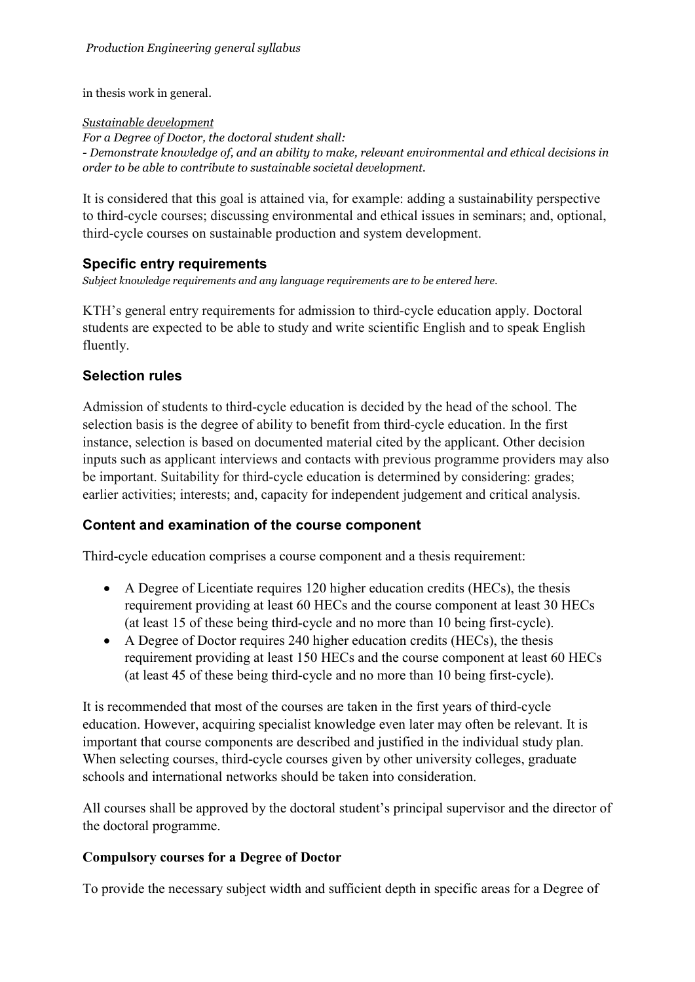in thesis work in general.

#### *Sustainable development*

*For a Degree of Doctor, the doctoral student shall: - Demonstrate knowledge of, and an ability to make, relevant environmental and ethical decisions in order to be able to contribute to sustainable societal development.*

It is considered that this goal is attained via, for example: adding a sustainability perspective to third-cycle courses; discussing environmental and ethical issues in seminars; and, optional, third-cycle courses on sustainable production and system development.

## **Specific entry requirements**

*Subject knowledge requirements and any language requirements are to be entered here.*

KTH's general entry requirements for admission to third-cycle education apply. Doctoral students are expected to be able to study and write scientific English and to speak English fluently.

## **Selection rules**

Admission of students to third-cycle education is decided by the head of the school. The selection basis is the degree of ability to benefit from third-cycle education. In the first instance, selection is based on documented material cited by the applicant. Other decision inputs such as applicant interviews and contacts with previous programme providers may also be important. Suitability for third-cycle education is determined by considering: grades; earlier activities; interests; and, capacity for independent judgement and critical analysis.

## **Content and examination of the course component**

Third-cycle education comprises a course component and a thesis requirement:

- A Degree of Licentiate requires 120 higher education credits (HECs), the thesis requirement providing at least 60 HECs and the course component at least 30 HECs (at least 15 of these being third-cycle and no more than 10 being first-cycle).
- A Degree of Doctor requires 240 higher education credits (HECs), the thesis requirement providing at least 150 HECs and the course component at least 60 HECs (at least 45 of these being third-cycle and no more than 10 being first-cycle).

It is recommended that most of the courses are taken in the first years of third-cycle education. However, acquiring specialist knowledge even later may often be relevant. It is important that course components are described and justified in the individual study plan. When selecting courses, third-cycle courses given by other university colleges, graduate schools and international networks should be taken into consideration.

All courses shall be approved by the doctoral student's principal supervisor and the director of the doctoral programme.

## **Compulsory courses for a Degree of Doctor**

To provide the necessary subject width and sufficient depth in specific areas for a Degree of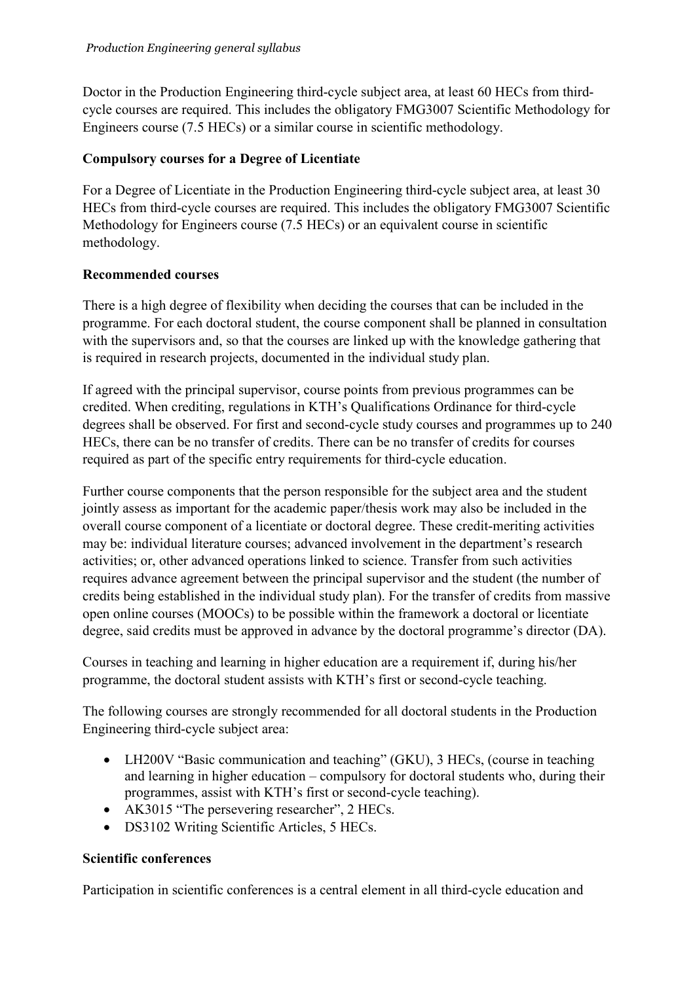Doctor in the Production Engineering third-cycle subject area, at least 60 HECs from thirdcycle courses are required. This includes the obligatory FMG3007 Scientific Methodology for Engineers course (7.5 HECs) or a similar course in scientific methodology.

## **Compulsory courses for a Degree of Licentiate**

For a Degree of Licentiate in the Production Engineering third-cycle subject area, at least 30 HECs from third-cycle courses are required. This includes the obligatory FMG3007 Scientific Methodology for Engineers course (7.5 HECs) or an equivalent course in scientific methodology.

## **Recommended courses**

There is a high degree of flexibility when deciding the courses that can be included in the programme. For each doctoral student, the course component shall be planned in consultation with the supervisors and, so that the courses are linked up with the knowledge gathering that is required in research projects, documented in the individual study plan.

If agreed with the principal supervisor, course points from previous programmes can be credited. When crediting, regulations in KTH's Qualifications Ordinance for third-cycle degrees shall be observed. For first and second-cycle study courses and programmes up to 240 HECs, there can be no transfer of credits. There can be no transfer of credits for courses required as part of the specific entry requirements for third-cycle education.

Further course components that the person responsible for the subject area and the student jointly assess as important for the academic paper/thesis work may also be included in the overall course component of a licentiate or doctoral degree. These credit-meriting activities may be: individual literature courses; advanced involvement in the department's research activities; or, other advanced operations linked to science. Transfer from such activities requires advance agreement between the principal supervisor and the student (the number of credits being established in the individual study plan). For the transfer of credits from massive open online courses (MOOCs) to be possible within the framework a doctoral or licentiate degree, said credits must be approved in advance by the doctoral programme's director (DA).

Courses in teaching and learning in higher education are a requirement if, during his/her programme, the doctoral student assists with KTH's first or second-cycle teaching.

The following courses are strongly recommended for all doctoral students in the Production Engineering third-cycle subject area:

- LH200V "Basic communication and teaching" (GKU), 3 HECs, (course in teaching and learning in higher education – compulsory for doctoral students who, during their programmes, assist with KTH's first or second-cycle teaching).
- AK3015 "The persevering researcher", 2 HECs.
- DS3102 Writing Scientific Articles, 5 HECs.

## **Scientific conferences**

Participation in scientific conferences is a central element in all third-cycle education and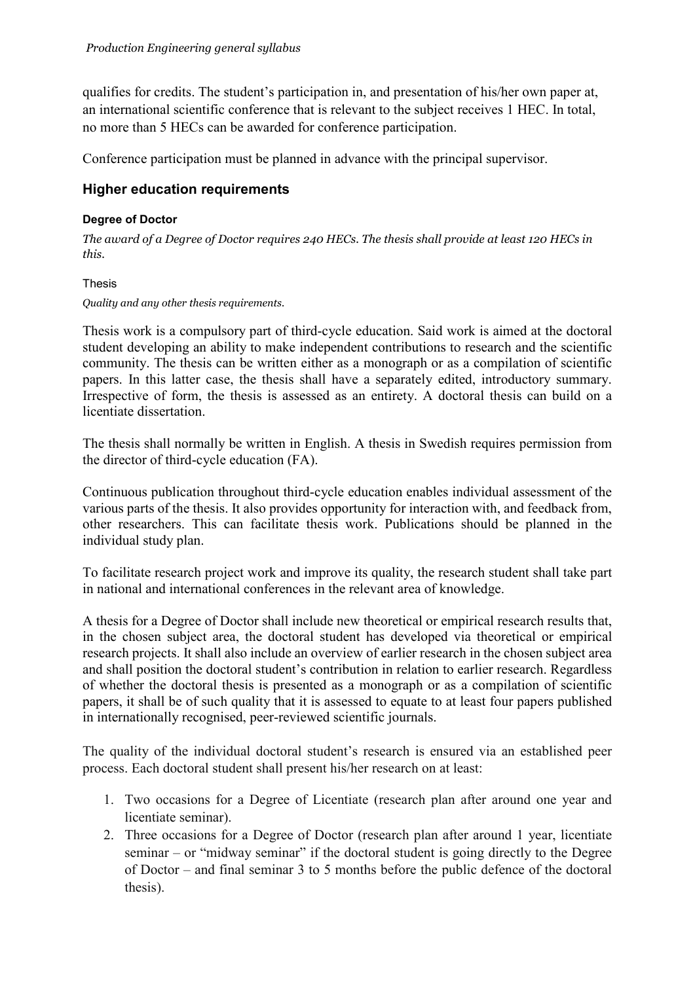qualifies for credits. The student's participation in, and presentation of his/her own paper at, an international scientific conference that is relevant to the subject receives 1 HEC. In total, no more than 5 HECs can be awarded for conference participation.

Conference participation must be planned in advance with the principal supervisor.

## **Higher education requirements**

#### **Degree of Doctor**

*The award of a Degree of Doctor requires 240 HECs. The thesis shall provide at least 120 HECs in this.*

#### Thesis

#### *Quality and any other thesis requirements.*

Thesis work is a compulsory part of third-cycle education. Said work is aimed at the doctoral student developing an ability to make independent contributions to research and the scientific community. The thesis can be written either as a monograph or as a compilation of scientific papers. In this latter case, the thesis shall have a separately edited, introductory summary. Irrespective of form, the thesis is assessed as an entirety. A doctoral thesis can build on a licentiate dissertation.

The thesis shall normally be written in English. A thesis in Swedish requires permission from the director of third-cycle education (FA).

Continuous publication throughout third-cycle education enables individual assessment of the various parts of the thesis. It also provides opportunity for interaction with, and feedback from, other researchers. This can facilitate thesis work. Publications should be planned in the individual study plan.

To facilitate research project work and improve its quality, the research student shall take part in national and international conferences in the relevant area of knowledge.

A thesis for a Degree of Doctor shall include new theoretical or empirical research results that, in the chosen subject area, the doctoral student has developed via theoretical or empirical research projects. It shall also include an overview of earlier research in the chosen subject area and shall position the doctoral student's contribution in relation to earlier research. Regardless of whether the doctoral thesis is presented as a monograph or as a compilation of scientific papers, it shall be of such quality that it is assessed to equate to at least four papers published in internationally recognised, peer-reviewed scientific journals.

The quality of the individual doctoral student's research is ensured via an established peer process. Each doctoral student shall present his/her research on at least:

- 1. Two occasions for a Degree of Licentiate (research plan after around one year and licentiate seminar).
- 2. Three occasions for a Degree of Doctor (research plan after around 1 year, licentiate seminar – or "midway seminar" if the doctoral student is going directly to the Degree of Doctor – and final seminar 3 to 5 months before the public defence of the doctoral thesis).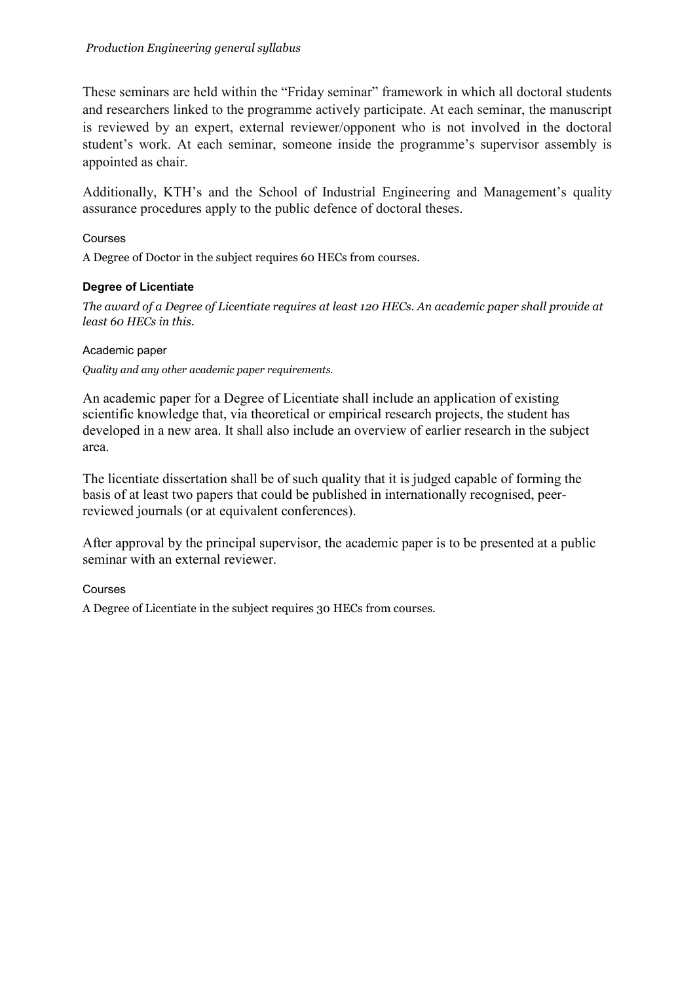These seminars are held within the "Friday seminar" framework in which all doctoral students and researchers linked to the programme actively participate. At each seminar, the manuscript is reviewed by an expert, external reviewer/opponent who is not involved in the doctoral student's work. At each seminar, someone inside the programme's supervisor assembly is appointed as chair.

Additionally, KTH's and the School of Industrial Engineering and Management's quality assurance procedures apply to the public defence of doctoral theses.

#### Courses

A Degree of Doctor in the subject requires 60 HECs from courses.

#### **Degree of Licentiate**

*The award of a Degree of Licentiate requires at least 120 HECs. An academic paper shall provide at least 60 HECs in this.*

Academic paper

*Quality and any other academic paper requirements.*

An academic paper for a Degree of Licentiate shall include an application of existing scientific knowledge that, via theoretical or empirical research projects, the student has developed in a new area. It shall also include an overview of earlier research in the subject area.

The licentiate dissertation shall be of such quality that it is judged capable of forming the basis of at least two papers that could be published in internationally recognised, peerreviewed journals (or at equivalent conferences).

After approval by the principal supervisor, the academic paper is to be presented at a public seminar with an external reviewer.

Courses

A Degree of Licentiate in the subject requires 30 HECs from courses.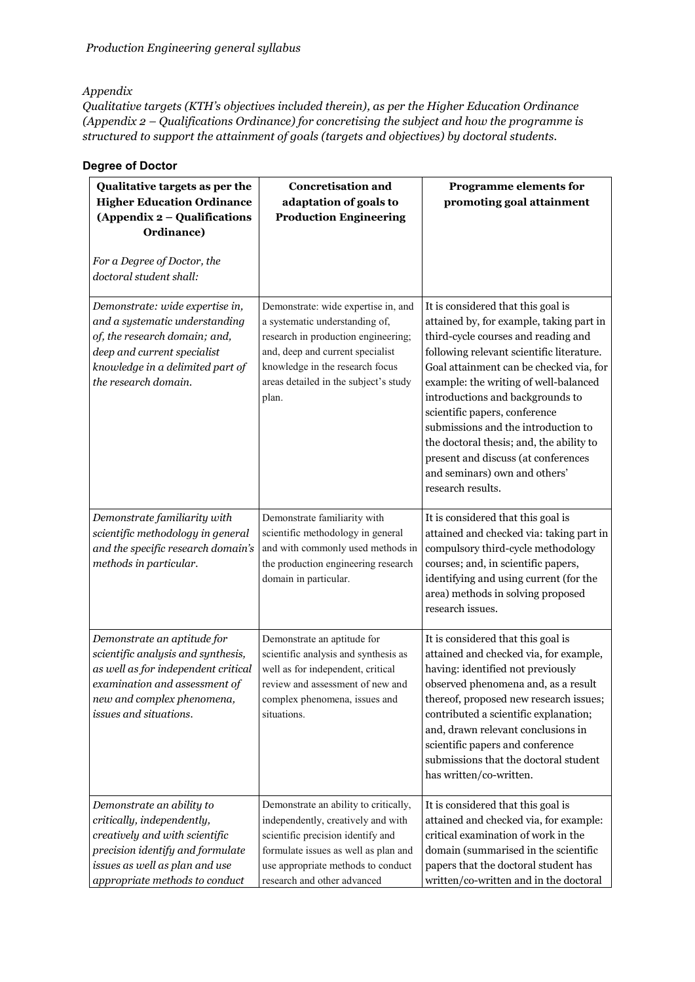#### *Appendix*

*Qualitative targets (KTH's objectives included therein), as per the Higher Education Ordinance (Appendix 2 – Qualifications Ordinance) for concretising the subject and how the programme is structured to support the attainment of goals (targets and objectives) by doctoral students.*

#### **Degree of Doctor**

| Qualitative targets as per the<br><b>Higher Education Ordinance</b><br>(Appendix 2 - Qualifications<br>Ordinance)                                                                                 | <b>Concretisation and</b><br>adaptation of goals to<br><b>Production Engineering</b>                                                                                                                                                  | Programme elements for<br>promoting goal attainment                                                                                                                                                                                                                                                                                                                                                                                                                                                         |
|---------------------------------------------------------------------------------------------------------------------------------------------------------------------------------------------------|---------------------------------------------------------------------------------------------------------------------------------------------------------------------------------------------------------------------------------------|-------------------------------------------------------------------------------------------------------------------------------------------------------------------------------------------------------------------------------------------------------------------------------------------------------------------------------------------------------------------------------------------------------------------------------------------------------------------------------------------------------------|
| For a Degree of Doctor, the<br>doctoral student shall:                                                                                                                                            |                                                                                                                                                                                                                                       |                                                                                                                                                                                                                                                                                                                                                                                                                                                                                                             |
| Demonstrate: wide expertise in,<br>and a systematic understanding<br>of, the research domain; and,<br>deep and current specialist<br>knowledge in a delimited part of<br>the research domain.     | Demonstrate: wide expertise in, and<br>a systematic understanding of,<br>research in production engineering;<br>and, deep and current specialist<br>knowledge in the research focus<br>areas detailed in the subject's study<br>plan. | It is considered that this goal is<br>attained by, for example, taking part in<br>third-cycle courses and reading and<br>following relevant scientific literature.<br>Goal attainment can be checked via, for<br>example: the writing of well-balanced<br>introductions and backgrounds to<br>scientific papers, conference<br>submissions and the introduction to<br>the doctoral thesis; and, the ability to<br>present and discuss (at conferences<br>and seminars) own and others'<br>research results. |
| Demonstrate familiarity with<br>scientific methodology in general<br>and the specific research domain's<br>methods in particular.                                                                 | Demonstrate familiarity with<br>scientific methodology in general<br>and with commonly used methods in<br>the production engineering research<br>domain in particular.                                                                | It is considered that this goal is<br>attained and checked via: taking part in<br>compulsory third-cycle methodology<br>courses; and, in scientific papers,<br>identifying and using current (for the<br>area) methods in solving proposed<br>research issues.                                                                                                                                                                                                                                              |
| Demonstrate an aptitude for<br>scientific analysis and synthesis,<br>as well as for independent critical<br>examination and assessment of<br>new and complex phenomena,<br>issues and situations. | Demonstrate an aptitude for<br>scientific analysis and synthesis as<br>well as for independent, critical<br>review and assessment of new and<br>complex phenomena, issues and<br>situations.                                          | It is considered that this goal is<br>attained and checked via, for example,<br>having: identified not previously<br>observed phenomena and, as a result<br>thereof, proposed new research issues;<br>contributed a scientific explanation;<br>and, drawn relevant conclusions in<br>scientific papers and conference<br>submissions that the doctoral student<br>has written/co-written.                                                                                                                   |
| Demonstrate an ability to<br>critically, independently,<br>creatively and with scientific<br>precision identify and formulate<br>issues as well as plan and use<br>appropriate methods to conduct | Demonstrate an ability to critically,<br>independently, creatively and with<br>scientific precision identify and<br>formulate issues as well as plan and<br>use appropriate methods to conduct<br>research and other advanced         | It is considered that this goal is<br>attained and checked via, for example:<br>critical examination of work in the<br>domain (summarised in the scientific<br>papers that the doctoral student has<br>written/co-written and in the doctoral                                                                                                                                                                                                                                                               |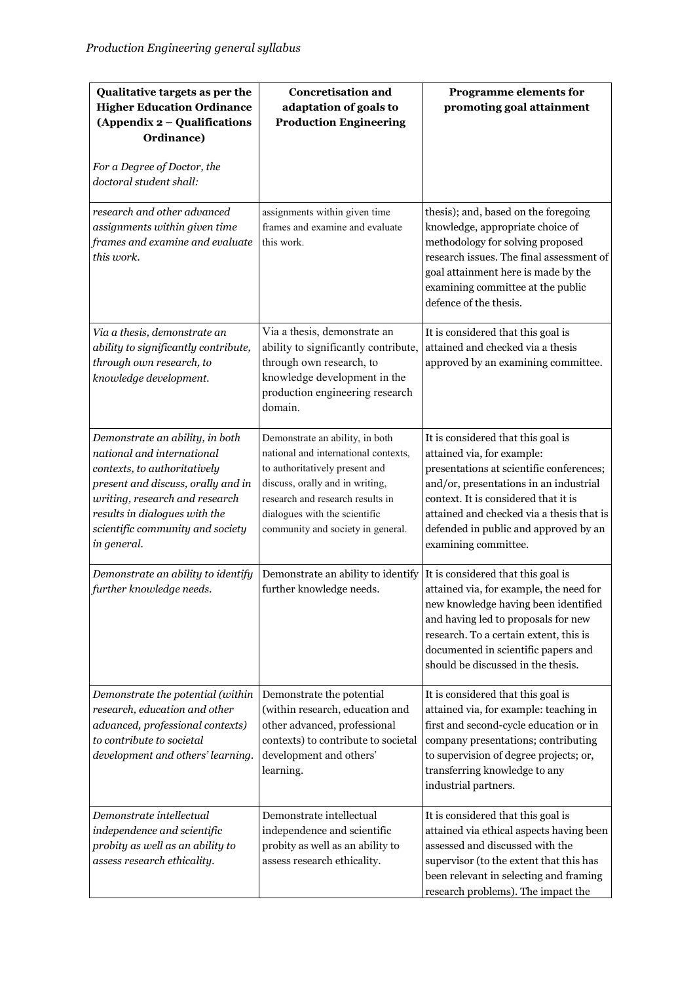| Qualitative targets as per the<br><b>Higher Education Ordinance</b><br>(Appendix 2 - Qualifications<br>Ordinance)<br>For a Degree of Doctor, the<br>doctoral student shall:                                                                               | <b>Concretisation and</b><br>adaptation of goals to<br><b>Production Engineering</b>                                                                                                                                                                   | <b>Programme elements for</b><br>promoting goal attainment                                                                                                                                                                                                                                                   |
|-----------------------------------------------------------------------------------------------------------------------------------------------------------------------------------------------------------------------------------------------------------|--------------------------------------------------------------------------------------------------------------------------------------------------------------------------------------------------------------------------------------------------------|--------------------------------------------------------------------------------------------------------------------------------------------------------------------------------------------------------------------------------------------------------------------------------------------------------------|
| research and other advanced<br>assignments within given time<br>frames and examine and evaluate<br>this work.                                                                                                                                             | assignments within given time<br>frames and examine and evaluate<br>this work.                                                                                                                                                                         | thesis); and, based on the foregoing<br>knowledge, appropriate choice of<br>methodology for solving proposed<br>research issues. The final assessment of<br>goal attainment here is made by the<br>examining committee at the public<br>defence of the thesis.                                               |
| Via a thesis, demonstrate an<br>ability to significantly contribute,<br>through own research, to<br>knowledge development.                                                                                                                                | Via a thesis, demonstrate an<br>ability to significantly contribute,<br>through own research, to<br>knowledge development in the<br>production engineering research<br>domain.                                                                         | It is considered that this goal is<br>attained and checked via a thesis<br>approved by an examining committee.                                                                                                                                                                                               |
| Demonstrate an ability, in both<br>national and international<br>contexts, to authoritatively<br>present and discuss, orally and in<br>writing, research and research<br>results in dialogues with the<br>scientific community and society<br>in general. | Demonstrate an ability, in both<br>national and international contexts,<br>to authoritatively present and<br>discuss, orally and in writing,<br>research and research results in<br>dialogues with the scientific<br>community and society in general. | It is considered that this goal is<br>attained via, for example:<br>presentations at scientific conferences;<br>and/or, presentations in an industrial<br>context. It is considered that it is<br>attained and checked via a thesis that is<br>defended in public and approved by an<br>examining committee. |
| Demonstrate an ability to identify<br>further knowledge needs.                                                                                                                                                                                            | Demonstrate an ability to identify<br>further knowledge needs.                                                                                                                                                                                         | It is considered that this goal is<br>attained via, for example, the need for<br>new knowledge having been identified<br>and having led to proposals for new<br>research. To a certain extent, this is<br>documented in scientific papers and<br>should be discussed in the thesis.                          |
| Demonstrate the potential (within<br>research, education and other<br>advanced, professional contexts)<br>to contribute to societal<br>development and others' learning.                                                                                  | Demonstrate the potential<br>(within research, education and<br>other advanced, professional<br>contexts) to contribute to societal<br>development and others'<br>learning.                                                                            | It is considered that this goal is<br>attained via, for example: teaching in<br>first and second-cycle education or in<br>company presentations; contributing<br>to supervision of degree projects; or,<br>transferring knowledge to any<br>industrial partners.                                             |
| Demonstrate intellectual<br>independence and scientific<br>probity as well as an ability to<br>assess research ethicality.                                                                                                                                | Demonstrate intellectual<br>independence and scientific<br>probity as well as an ability to<br>assess research ethicality.                                                                                                                             | It is considered that this goal is<br>attained via ethical aspects having been<br>assessed and discussed with the<br>supervisor (to the extent that this has<br>been relevant in selecting and framing<br>research problems). The impact the                                                                 |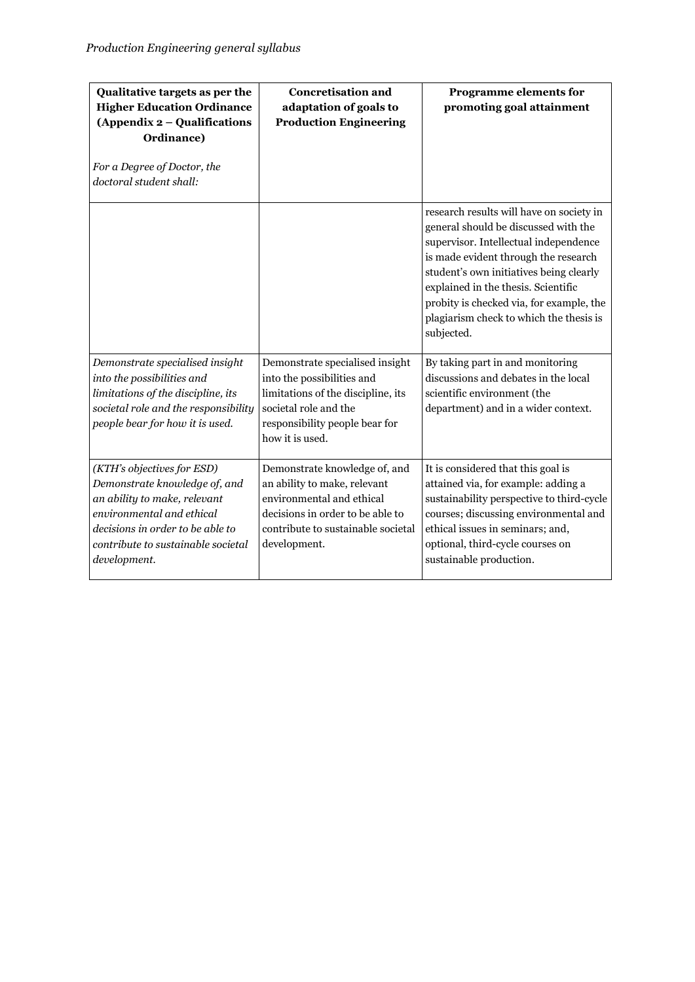| Qualitative targets as per the<br><b>Higher Education Ordinance</b><br>(Appendix 2 – Qualifications<br>Ordinance)<br>For a Degree of Doctor, the<br>doctoral student shall:                                        | <b>Concretisation and</b><br>adaptation of goals to<br><b>Production Engineering</b>                                                                                                 | <b>Programme elements for</b><br>promoting goal attainment                                                                                                                                                                                                                                                                                               |
|--------------------------------------------------------------------------------------------------------------------------------------------------------------------------------------------------------------------|--------------------------------------------------------------------------------------------------------------------------------------------------------------------------------------|----------------------------------------------------------------------------------------------------------------------------------------------------------------------------------------------------------------------------------------------------------------------------------------------------------------------------------------------------------|
|                                                                                                                                                                                                                    |                                                                                                                                                                                      | research results will have on society in<br>general should be discussed with the<br>supervisor. Intellectual independence<br>is made evident through the research<br>student's own initiatives being clearly<br>explained in the thesis. Scientific<br>probity is checked via, for example, the<br>plagiarism check to which the thesis is<br>subjected. |
| Demonstrate specialised insight<br>into the possibilities and<br>limitations of the discipline, its<br>societal role and the responsibility<br>people bear for how it is used.                                     | Demonstrate specialised insight<br>into the possibilities and<br>limitations of the discipline, its<br>societal role and the<br>responsibility people bear for<br>how it is used.    | By taking part in and monitoring<br>discussions and debates in the local<br>scientific environment (the<br>department) and in a wider context.                                                                                                                                                                                                           |
| (KTH's objectives for ESD)<br>Demonstrate knowledge of, and<br>an ability to make, relevant<br>environmental and ethical<br>decisions in order to be able to<br>contribute to sustainable societal<br>development. | Demonstrate knowledge of, and<br>an ability to make, relevant<br>environmental and ethical<br>decisions in order to be able to<br>contribute to sustainable societal<br>development. | It is considered that this goal is<br>attained via, for example: adding a<br>sustainability perspective to third-cycle<br>courses; discussing environmental and<br>ethical issues in seminars; and,<br>optional, third-cycle courses on<br>sustainable production.                                                                                       |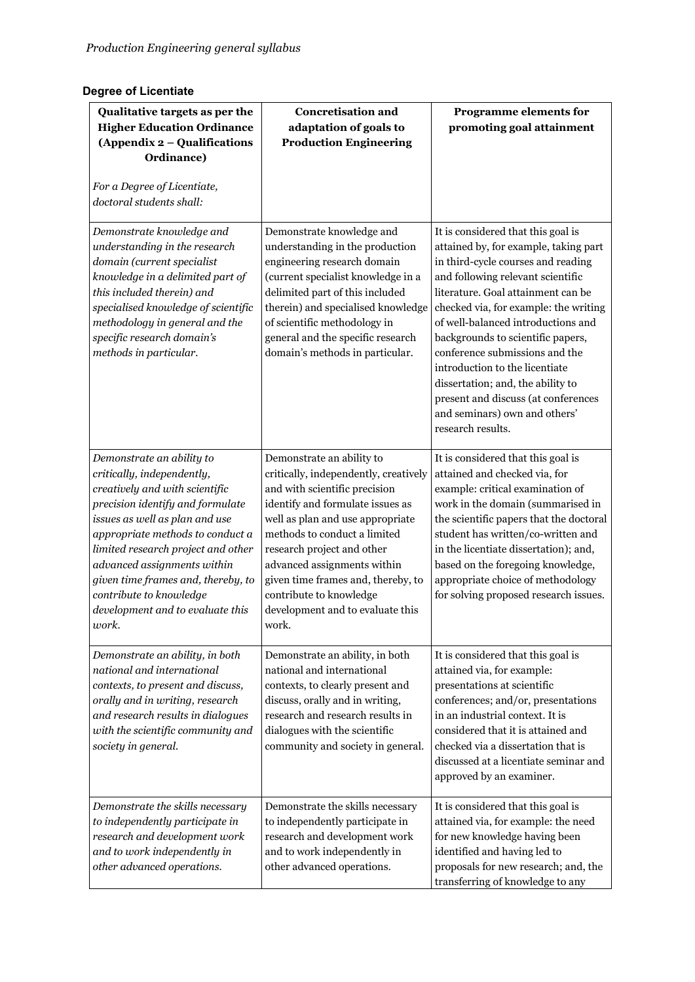## **Degree of Licentiate**

| Qualitative targets as per the<br><b>Higher Education Ordinance</b><br>(Appendix 2 - Qualifications<br>Ordinance)<br>For a Degree of Licentiate,<br>doctoral students shall:                                                                                                                                                                                                           | <b>Concretisation and</b><br>adaptation of goals to<br><b>Production Engineering</b>                                                                                                                                                                                                                                                                                                   | <b>Programme elements for</b><br>promoting goal attainment                                                                                                                                                                                                                                                                                                                                                                                                                                                             |
|----------------------------------------------------------------------------------------------------------------------------------------------------------------------------------------------------------------------------------------------------------------------------------------------------------------------------------------------------------------------------------------|----------------------------------------------------------------------------------------------------------------------------------------------------------------------------------------------------------------------------------------------------------------------------------------------------------------------------------------------------------------------------------------|------------------------------------------------------------------------------------------------------------------------------------------------------------------------------------------------------------------------------------------------------------------------------------------------------------------------------------------------------------------------------------------------------------------------------------------------------------------------------------------------------------------------|
| Demonstrate knowledge and<br>understanding in the research<br>domain (current specialist<br>knowledge in a delimited part of<br>this included therein) and<br>specialised knowledge of scientific<br>methodology in general and the<br>specific research domain's<br>methods in particular.                                                                                            | Demonstrate knowledge and<br>understanding in the production<br>engineering research domain<br>(current specialist knowledge in a<br>delimited part of this included<br>therein) and specialised knowledge<br>of scientific methodology in<br>general and the specific research<br>domain's methods in particular.                                                                     | It is considered that this goal is<br>attained by, for example, taking part<br>in third-cycle courses and reading<br>and following relevant scientific<br>literature. Goal attainment can be<br>checked via, for example: the writing<br>of well-balanced introductions and<br>backgrounds to scientific papers,<br>conference submissions and the<br>introduction to the licentiate<br>dissertation; and, the ability to<br>present and discuss (at conferences<br>and seminars) own and others'<br>research results. |
| Demonstrate an ability to<br>critically, independently,<br>creatively and with scientific<br>precision identify and formulate<br>issues as well as plan and use<br>appropriate methods to conduct a<br>limited research project and other<br>advanced assignments within<br>given time frames and, thereby, to<br>contribute to knowledge<br>development and to evaluate this<br>work. | Demonstrate an ability to<br>critically, independently, creatively<br>and with scientific precision<br>identify and formulate issues as<br>well as plan and use appropriate<br>methods to conduct a limited<br>research project and other<br>advanced assignments within<br>given time frames and, thereby, to<br>contribute to knowledge<br>development and to evaluate this<br>work. | It is considered that this goal is<br>attained and checked via, for<br>example: critical examination of<br>work in the domain (summarised in<br>the scientific papers that the doctoral<br>student has written/co-written and<br>in the licentiate dissertation); and,<br>based on the foregoing knowledge,<br>appropriate choice of methodology<br>for solving proposed research issues.                                                                                                                              |
| Demonstrate an ability, in both<br>national and international<br>contexts, to present and discuss,<br>orally and in writing, research<br>and research results in dialogues<br>with the scientific community and<br>society in general.                                                                                                                                                 | Demonstrate an ability, in both<br>national and international<br>contexts, to clearly present and<br>discuss, orally and in writing,<br>research and research results in<br>dialogues with the scientific<br>community and society in general.                                                                                                                                         | It is considered that this goal is<br>attained via, for example:<br>presentations at scientific<br>conferences; and/or, presentations<br>in an industrial context. It is<br>considered that it is attained and<br>checked via a dissertation that is<br>discussed at a licentiate seminar and<br>approved by an examiner.                                                                                                                                                                                              |
| Demonstrate the skills necessary<br>to independently participate in<br>research and development work<br>and to work independently in<br>other advanced operations.                                                                                                                                                                                                                     | Demonstrate the skills necessary<br>to independently participate in<br>research and development work<br>and to work independently in<br>other advanced operations.                                                                                                                                                                                                                     | It is considered that this goal is<br>attained via, for example: the need<br>for new knowledge having been<br>identified and having led to<br>proposals for new research; and, the<br>transferring of knowledge to any                                                                                                                                                                                                                                                                                                 |